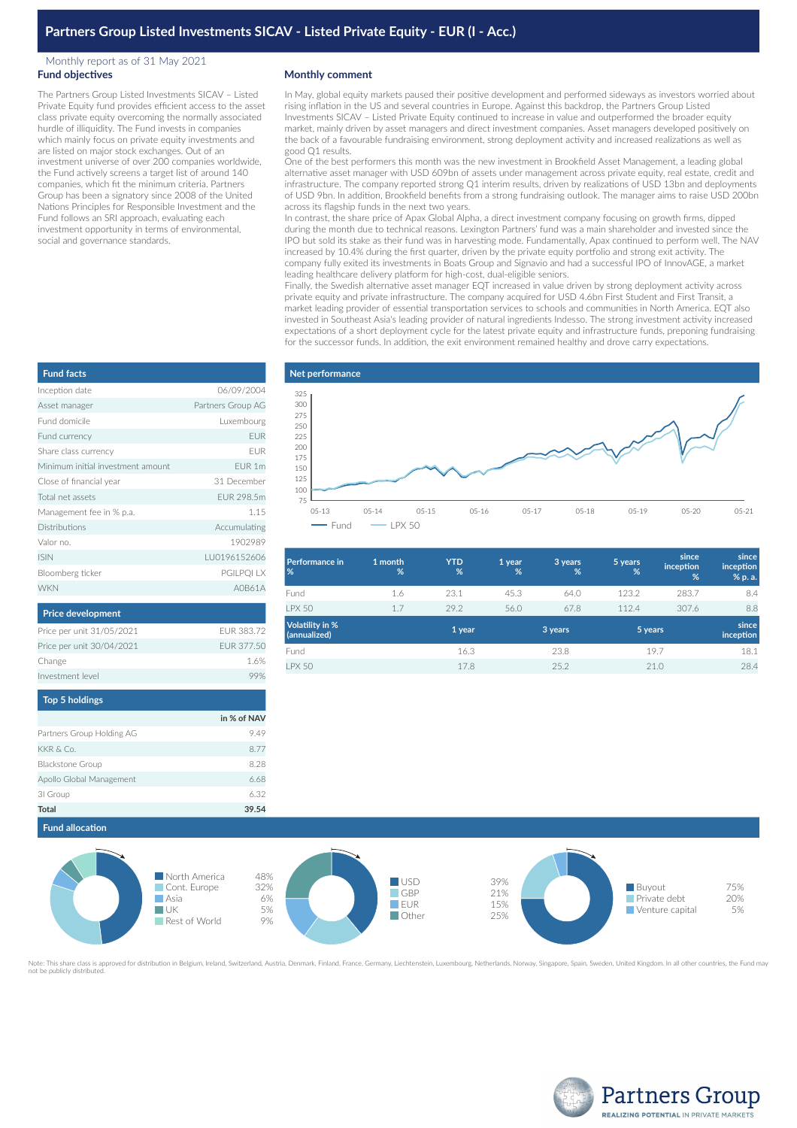## Monthly report as of 31 May 2021 **Fund objectives**

The Partners Group Listed Investments SICAV – Listed Private Equity fund provides efficient access to the asset class private equity overcoming the normally associated hurdle of illiquidity. The Fund invests in companies which mainly focus on private equity investments and are listed on major stock exchanges. Out of an investment universe of over 200 companies worldwide, the Fund actively screens a target list of around 140 companies, which fit the minimum criteria. Partners Group has been a signatory since 2008 of the United Nations Principles for Responsible Investment and the Fund follows an SRI approach, evaluating each investment opportunity in terms of environmental, social and governance standards.

### **Monthly comment**

In May, global equity markets paused their positive development and performed sideways as investors worried about rising inflation in the US and several countries in Europe. Against this backdrop, the Partners Group Listed Investments SICAV – Listed Private Equity continued to increase in value and outperformed the broader equity market, mainly driven by asset managers and direct investment companies. Asset managers developed positively on the back of a favourable fundraising environment, strong deployment activity and increased realizations as well as good Q1 results.

One of the best performers this month was the new investment in Brookfield Asset Management, a leading global alternative asset manager with USD 609bn of assets under management across private equity, real estate, credit and infrastructure. The company reported strong Q1 interim results, driven by realizations of USD 13bn and deployments of USD 9bn. In addition, Brookfield benefits from a strong fundraising outlook. The manager aims to raise USD 200bn across its flagship funds in the next two years.

In contrast, the share price of Apax Global Alpha, a direct investment company focusing on growth firms, dipped during the month due to technical reasons. Lexington Partners' fund was a main shareholder and invested since the IPO but sold its stake as their fund was in harvesting mode. Fundamentally, Apax continued to perform well. The NAV increased by 10.4% during the first quarter, driven by the private equity portfolio and strong exit activity. The company fully exited its investments in Boats Group and Signavio and had a successful IPO of InnovAGE, a market leading healthcare delivery platform for high-cost, dual-eligible seniors.

Finally, the Swedish alternative asset manager EQT increased in value driven by strong deployment activity across private equity and private infrastructure. The company acquired for USD 4.6bn First Student and First Transit, a market leading provider of essential transportation services to schools and communities in North America. EQT also invested in Southeast Asia's leading provider of natural ingredients Indesso. The strong investment activity increased expectations of a short deployment cycle for the latest private equity and infrastructure funds, preponing fundraising for the successor funds. In addition, the exit environment remained healthy and drove carry expectations.



| <b>Performance in</b><br>%             | 1 month<br>% | <b>YTD</b><br>% | 1 year<br>% | 3 years<br>% | 5 years<br>% | since<br>inception<br>% | since<br>inception<br>% p. a. |
|----------------------------------------|--------------|-----------------|-------------|--------------|--------------|-------------------------|-------------------------------|
| Fund                                   | 1.6          | 23.1            | 45.3        | 64.0         | 123.2        | 283.7                   | 8.4                           |
| <b>I PX 50</b>                         | 1.7          | 29.2            | 56.0        | 67.8         | 112.4        | 307.6                   | 8.8                           |
| <b>Volatility in %</b><br>(annualized) |              | 1 year          |             | 3 years      | 5 years      |                         | since<br>inception            |
| Fund                                   |              | 16.3            |             | 23.8         |              | 19.7                    | 18.1                          |
| <b>LPX 50</b>                          |              | 17.8            |             | 25.2         |              | 21.0                    | 28.4                          |
|                                        |              |                 |             |              |              |                         |                               |

| <b>Fund facts</b>                 |                   |
|-----------------------------------|-------------------|
| Inception date                    | 06/09/2004        |
| Asset manager                     | Partners Group AG |
| Eund domicile                     | Luxembourg        |
| Fund currency                     | <b>EUR</b>        |
| Share class currency              | <b>FUR</b>        |
| Minimum initial investment amount | FUR <sub>1m</sub> |
| Close of financial year           | 31 December       |
| Total net assets                  | FUR 298.5m        |
| Management fee in % p.a.          | 1.15              |
| <b>Distributions</b>              | Accumulating      |
| Valor no.                         | 1902989           |
| <b>ISIN</b>                       | LU0196152606      |
| Bloomberg ticker                  | PGILPQI LX        |
| <b>WKN</b>                        | A0B61A            |
|                                   |                   |

| <b>Price development</b>  |            |
|---------------------------|------------|
| Price per unit 31/05/2021 | FUR 383.72 |
| Price per unit 30/04/2021 | FUR 377.50 |
| Change                    | 16%        |
| Investment level          |            |
|                           |            |

| <b>TOD 5 NOIGINGS</b>     |             |
|---------------------------|-------------|
|                           | in % of NAV |
| Partners Group Holding AG | 9.49        |
| KKR & Co.                 | 8.77        |
| <b>Blackstone Group</b>   | 8.28        |
| Apollo Global Management  | 6.68        |
| 31 Group                  | 6.32        |
| <b>Total</b>              | 39.54       |



.<br>approved for distribution in Belgium, Ireland, Switzerland, Austria, Denmark, Finland, France, Germany, Liechtenstein, Luxembourg, Netherlands, Norway, Singapore, Spain, Sweden, United Kingdom. In all other countries, th not be publicly distributed.



| und currency                      | EU                |
|-----------------------------------|-------------------|
| are class currency                | EU                |
| linimum initial investment amount | EUR 1r            |
| lose of financial year            | 31 Decembe        |
| otal net assets                   | <b>EUR 298.5r</b> |
| lanagement fee in % p.a.          | 1.1               |
| istributions                      | Accumulatin       |
| alor no.                          | 190298            |
| IN                                | LU019615260       |
| oomberg ticker                    | PGILPQI L         |
| /KN                               | A0B61             |
|                                   |                   |

# **Top 5 holdings**

|                           | in % of NAV |
|---------------------------|-------------|
| Partners Group Holding AG | 9.49        |
| KKR & Co.                 | 8.77        |
| Blackstone Group          | 8.28        |
| Apollo Global Management  | 6.68        |
| 31 Group                  | 6.32        |
| Total                     | 39.54       |
|                           |             |